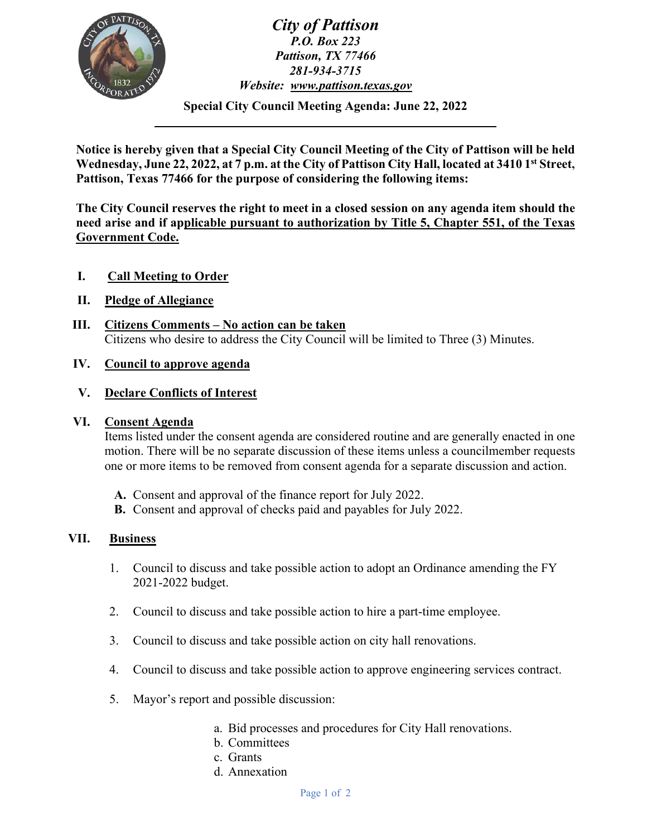

*City of Pattison P.O. Box 223 Pattison, TX 77466 281-934-3715 Website: [www.pattison.texas.gov](http://www.pattison.texas.gov/)*

**Special City Council Meeting Agenda: June 22, 2022**

**Notice is hereby given that a Special City Council Meeting of the City of Pattison will be held Wednesday, June 22, 2022, at 7 p.m. at the City of Pattison City Hall, located at 3410 1st Street, Pattison, Texas 77466 for the purpose of considering the following items:**

**The City Council reserves the right to meet in a closed session on any agenda item should the need arise and if applicable pursuant to authorization by Title 5, Chapter 551, of the Texas Government Code.**

- **I. Call Meeting to Order**
- **II. Pledge of Allegiance**
- **III. Citizens Comments – No action can be taken**  Citizens who desire to address the City Council will be limited to Three (3) Minutes.

## **IV. Council to approve agenda**

### **V. Declare Conflicts of Interest**

### **VI. Consent Agenda**

Items listed under the consent agenda are considered routine and are generally enacted in one motion. There will be no separate discussion of these items unless a councilmember requests one or more items to be removed from consent agenda for a separate discussion and action.

- **A.** Consent and approval of the finance report for July 2022.
- **B.** Consent and approval of checks paid and payables for July 2022.

### **VII. Business**

- 1. Council to discuss and take possible action to adopt an Ordinance amending the FY 2021-2022 budget.
- 2. Council to discuss and take possible action to hire a part-time employee.
- 3. Council to discuss and take possible action on city hall renovations.
- 4. Council to discuss and take possible action to approve engineering services contract.
- 5. Mayor's report and possible discussion:
	- a. Bid processes and procedures for City Hall renovations.
	- b. Committees
	- c. Grants
	- d. Annexation